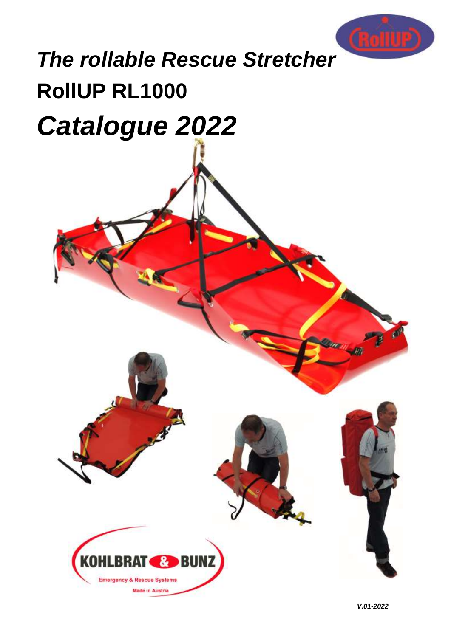

# **RollUP RL1000** *The rollable Rescue Stretcher Catalogue 2022*

**BUNZ** 

KO

**Emergency & Rescue Systems** 

**Made in Austria** 

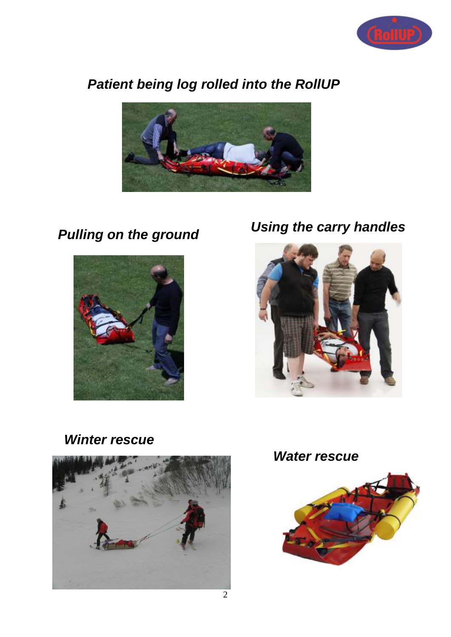

# *Patient being log rolled into the RollUP*





# *Pulling on the ground Using the carry handles*



## *Winter rescue*





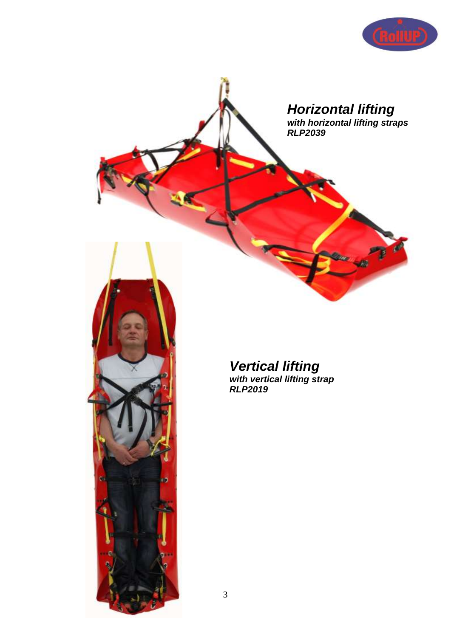

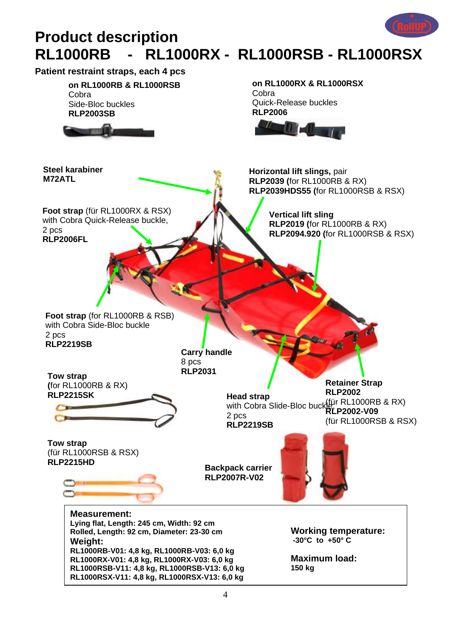

# **Product description RL1000RB - RL1000RX - RL1000RSB - RL1000RSX**

**Patient restraint straps, each 4 pcs**

**on RL1000RB & RL1000RSB** Cobra Side-Bloc buckles **RLP2003SB**



**Foot strap** (für RL1000RX & RSX) with Cobra Quick-Release buckle,

2 pcs

**RLP2006FL**

**Steel karabiner**

**M72ATL**

**on RL1000RX & RL1000RSX Cobra** Quick-Release buckles **RLP2006**



**Horizontal lift slings,** pair **RLP2039 (**for RL1000RB & RX) **RLP2039HDS55 (**for RL1000RSB & RSX)

> **Vertical lift sling RLP2019 (**for RL1000RB & RX) **RLP2094.920 (**for RL1000RSB & RSX)

**Foot strap** (for RL1000RB & RSB) with Cobra Side-Bloc buckle 2 pcs **RLP2219SB**

**Carry handle** 8 pcs

**RLP2031 Tow strap (**for RL1000RB & RX) **RLP2215SK**



**Head strap** with Cobra Slide-Bloc buckles nanon (1000RB & RX) 2 pcs **RLP2219SB Retainer Strap RLP2002 RLP2002-V09** (für RL1000RSB & RSX)

**Tow strap** (für RL1000RSB & RSX) **RLP2215HD**



**Backpack carrier RLP2007R-V02**



**Measurement: Lying flat, Length: 245 cm, Width: 92 cm Rolled, Length: 92 cm, Diameter: 23-30 cm Weight: RL1000RB-V01: 4,8 kg, RL1000RB-V03: 6,0 kg RL1000RX-V01: 4,8 kg, RL1000RX-V03: 6,0 kg RL1000RSB-V11: 4,8 kg, RL1000RSB-V13: 6,0 kg RL1000RSX-V11: 4,8 kg, RL1000RSX-V13: 6,0 kg**

**Working temperature: -30°C to +50° C**

**Maximum load: 150 kg**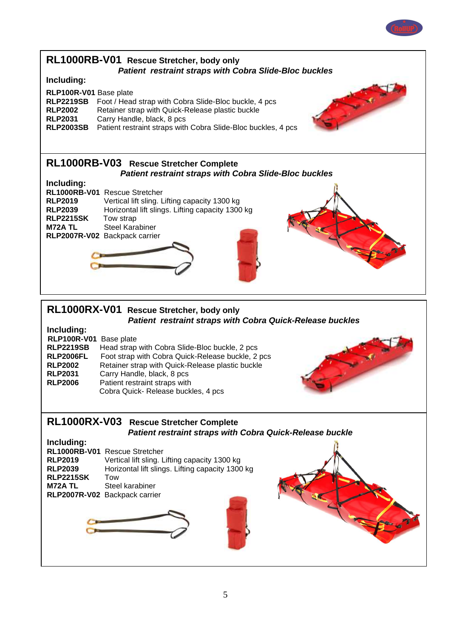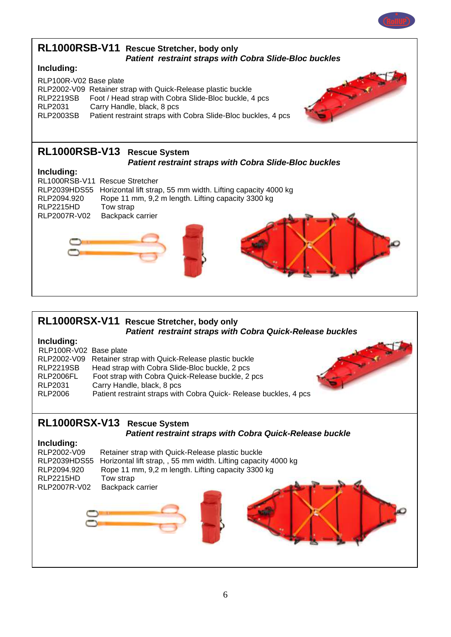

# **RL1000RSX-V11 Rescue Stretcher, body only**

*Patient restraint straps with Cobra Quick-Release buckles*

### **Including:**

| RLP100R-V02 Base plate |                                                                  |    |
|------------------------|------------------------------------------------------------------|----|
|                        | RLP2002-V09 Retainer strap with Quick-Release plastic buckle     |    |
| <b>RLP2219SB</b>       | Head strap with Cobra Slide-Bloc buckle, 2 pcs                   |    |
| RLP2006FL              | Foot strap with Cobra Quick-Release buckle, 2 pcs                | ś. |
| RLP2031                | Carry Handle, black, 8 pcs                                       |    |
| RLP2006                | Patient restraint straps with Cobra Quick-Release buckles, 4 pcs |    |

#### **RL1000RSX-V13 Rescue System** *Patient restraint straps with Cobra Quick-Release buckle*

### **Including:**

| RLP2002-V09  | Retainer strap with Quick-Release plastic buckle               |  |
|--------------|----------------------------------------------------------------|--|
| RLP2039HDS55 | Horizontal lift strap, , 55 mm width. Lifting capacity 4000 kg |  |
| RLP2094.920  | Rope 11 mm, 9,2 m length. Lifting capacity 3300 kg             |  |
| RLP2215HD    | Tow strap                                                      |  |
| RLP2007R-V02 | Backpack carrier                                               |  |
|              |                                                                |  |
|              |                                                                |  |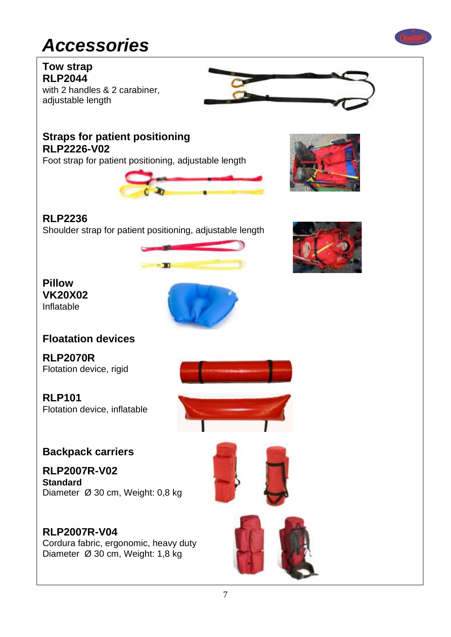# *Accessories*

**Tow strap RLP2044** with 2 handles & 2 carabiner, adjustable length



### **Straps for patient positioning RLP2226-V02**

Foot strap for patient positioning, adjustable length





### **RLP2236**

Shoulder strap for patient positioning, adjustable length



**Pillow VK20X02** Inflatable



### **Floatation devices**

**RLP2070R** Flotation device, rigid

**RLP101**  Flotation device, inflatable





### **Backpack carriers**

**RLP2007R-V02 Standard** Diameter Ø 30 cm, Weight: 0,8 kg